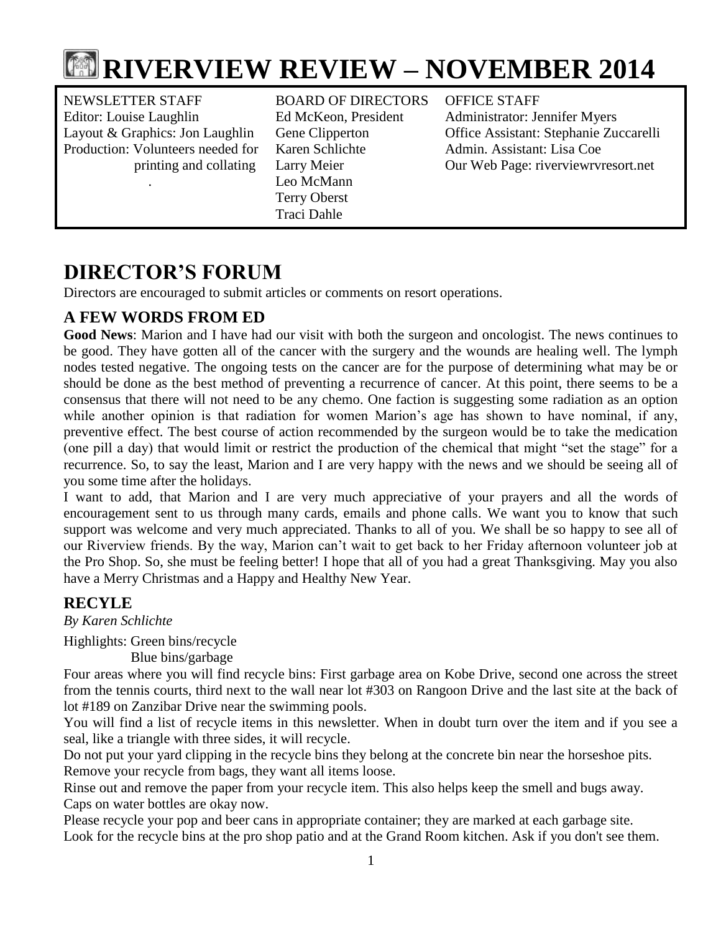

NEWSLETTER STAFF BOARD OF DIRECTORS OFFICE STAFF Editor: Louise Laughlin Ed McKeon, President Administrator: Jennifer Myers Production: Volunteers needed for Karen Schlichte Admin. Assistant: Lisa Coe

 . Leo McMann Terry Oberst Traci Dahle

Layout & Graphics: Jon Laughlin Gene Clipperton Office Assistant: Stephanie Zuccarelli printing and collating Larry Meier Our Web Page: riverviewrvresort.net

# **DIRECTOR'S FORUM**

Directors are encouraged to submit articles or comments on resort operations.

## **A FEW WORDS FROM ED**

**Good News**: Marion and I have had our visit with both the surgeon and oncologist. The news continues to be good. They have gotten all of the cancer with the surgery and the wounds are healing well. The lymph nodes tested negative. The ongoing tests on the cancer are for the purpose of determining what may be or should be done as the best method of preventing a recurrence of cancer. At this point, there seems to be a consensus that there will not need to be any chemo. One faction is suggesting some radiation as an option while another opinion is that radiation for women Marion's age has shown to have nominal, if any, preventive effect. The best course of action recommended by the surgeon would be to take the medication (one pill a day) that would limit or restrict the production of the chemical that might "set the stage" for a recurrence. So, to say the least, Marion and I are very happy with the news and we should be seeing all of you some time after the holidays.

I want to add, that Marion and I are very much appreciative of your prayers and all the words of encouragement sent to us through many cards, emails and phone calls. We want you to know that such support was welcome and very much appreciated. Thanks to all of you. We shall be so happy to see all of our Riverview friends. By the way, Marion can't wait to get back to her Friday afternoon volunteer job at the Pro Shop. So, she must be feeling better! I hope that all of you had a great Thanksgiving. May you also have a Merry Christmas and a Happy and Healthy New Year.

## **RECYLE**

*By Karen Schlichte*

Highlights: Green bins/recycle

Blue bins/garbage

Four areas where you will find recycle bins: First garbage area on Kobe Drive, second one across the street from the tennis courts, third next to the wall near lot #303 on Rangoon Drive and the last site at the back of lot #189 on Zanzibar Drive near the swimming pools.

You will find a list of recycle items in this newsletter. When in doubt turn over the item and if you see a seal, like a triangle with three sides, it will recycle.

Do not put your yard clipping in the recycle bins they belong at the concrete bin near the horseshoe pits. Remove your recycle from bags, they want all items loose.

Rinse out and remove the paper from your recycle item. This also helps keep the smell and bugs away. Caps on water bottles are okay now.

Please recycle your pop and beer cans in appropriate container; they are marked at each garbage site. Look for the recycle bins at the pro shop patio and at the Grand Room kitchen. Ask if you don't see them.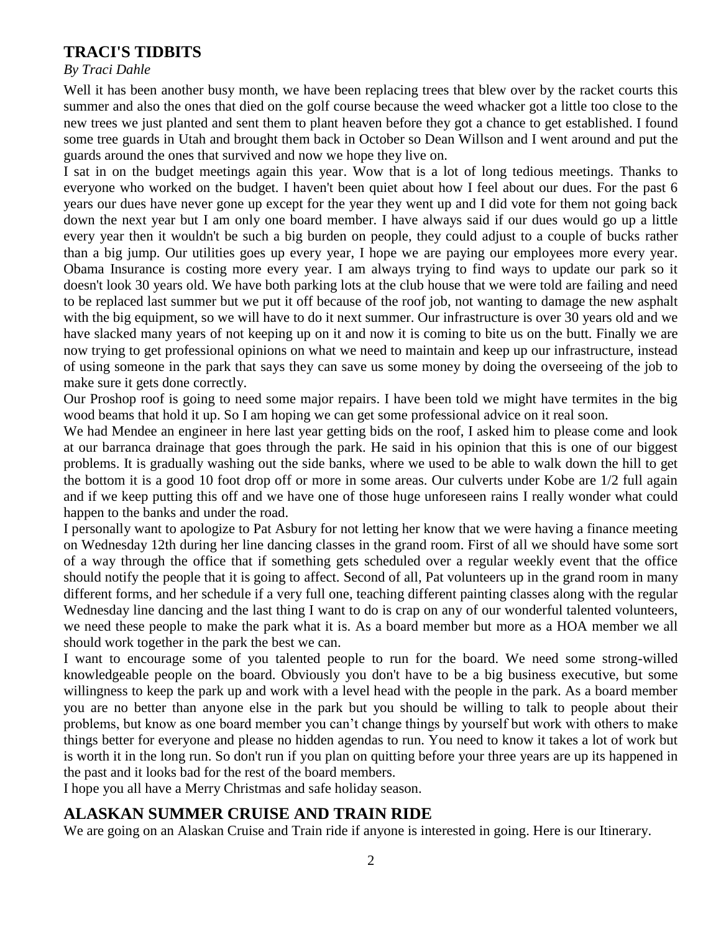## **TRACI'S TIDBITS**

#### *By Traci Dahle*

Well it has been another busy month, we have been replacing trees that blew over by the racket courts this summer and also the ones that died on the golf course because the weed whacker got a little too close to the new trees we just planted and sent them to plant heaven before they got a chance to get established. I found some tree guards in Utah and brought them back in October so Dean Willson and I went around and put the guards around the ones that survived and now we hope they live on.

I sat in on the budget meetings again this year. Wow that is a lot of long tedious meetings. Thanks to everyone who worked on the budget. I haven't been quiet about how I feel about our dues. For the past 6 years our dues have never gone up except for the year they went up and I did vote for them not going back down the next year but I am only one board member. I have always said if our dues would go up a little every year then it wouldn't be such a big burden on people, they could adjust to a couple of bucks rather than a big jump. Our utilities goes up every year, I hope we are paying our employees more every year. Obama Insurance is costing more every year. I am always trying to find ways to update our park so it doesn't look 30 years old. We have both parking lots at the club house that we were told are failing and need to be replaced last summer but we put it off because of the roof job, not wanting to damage the new asphalt with the big equipment, so we will have to do it next summer. Our infrastructure is over 30 years old and we have slacked many years of not keeping up on it and now it is coming to bite us on the butt. Finally we are now trying to get professional opinions on what we need to maintain and keep up our infrastructure, instead of using someone in the park that says they can save us some money by doing the overseeing of the job to make sure it gets done correctly.

Our Proshop roof is going to need some major repairs. I have been told we might have termites in the big wood beams that hold it up. So I am hoping we can get some professional advice on it real soon.

We had Mendee an engineer in here last year getting bids on the roof, I asked him to please come and look at our barranca drainage that goes through the park. He said in his opinion that this is one of our biggest problems. It is gradually washing out the side banks, where we used to be able to walk down the hill to get the bottom it is a good 10 foot drop off or more in some areas. Our culverts under Kobe are 1/2 full again and if we keep putting this off and we have one of those huge unforeseen rains I really wonder what could happen to the banks and under the road.

I personally want to apologize to Pat Asbury for not letting her know that we were having a finance meeting on Wednesday 12th during her line dancing classes in the grand room. First of all we should have some sort of a way through the office that if something gets scheduled over a regular weekly event that the office should notify the people that it is going to affect. Second of all, Pat volunteers up in the grand room in many different forms, and her schedule if a very full one, teaching different painting classes along with the regular Wednesday line dancing and the last thing I want to do is crap on any of our wonderful talented volunteers, we need these people to make the park what it is. As a board member but more as a HOA member we all should work together in the park the best we can.

I want to encourage some of you talented people to run for the board. We need some strong-willed knowledgeable people on the board. Obviously you don't have to be a big business executive, but some willingness to keep the park up and work with a level head with the people in the park. As a board member you are no better than anyone else in the park but you should be willing to talk to people about their problems, but know as one board member you can't change things by yourself but work with others to make things better for everyone and please no hidden agendas to run. You need to know it takes a lot of work but is worth it in the long run. So don't run if you plan on quitting before your three years are up its happened in the past and it looks bad for the rest of the board members.

I hope you all have a Merry Christmas and safe holiday season.

## **ALASKAN SUMMER CRUISE AND TRAIN RIDE**

We are going on an Alaskan Cruise and Train ride if anyone is interested in going. Here is our Itinerary.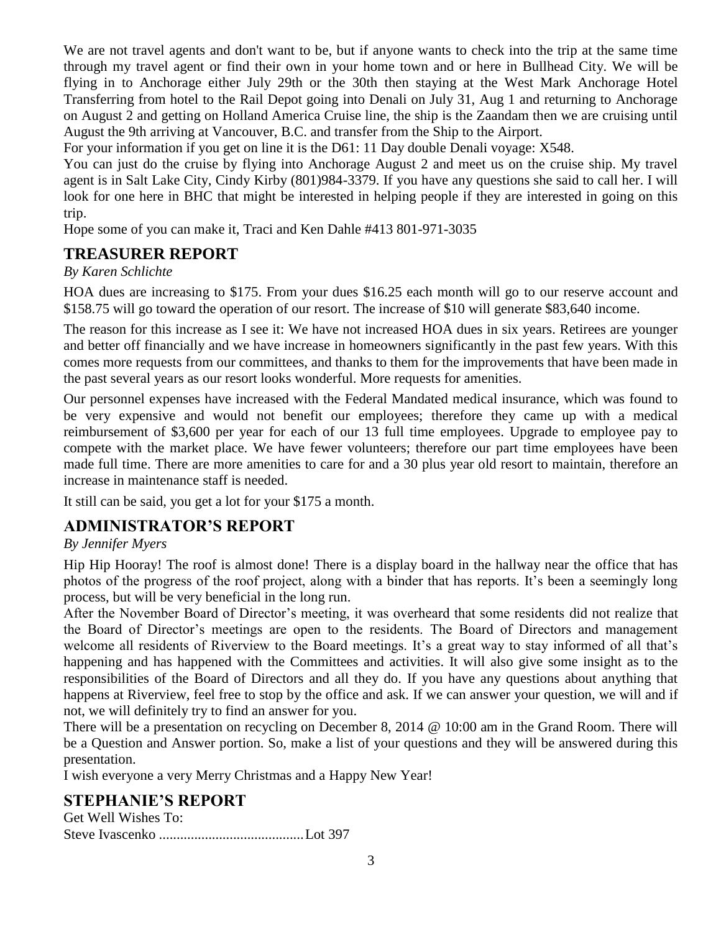We are not travel agents and don't want to be, but if anyone wants to check into the trip at the same time through my travel agent or find their own in your home town and or here in Bullhead City. We will be flying in to Anchorage either July 29th or the 30th then staying at the West Mark Anchorage Hotel Transferring from hotel to the Rail Depot going into Denali on July 31, Aug 1 and returning to Anchorage on August 2 and getting on Holland America Cruise line, the ship is the Zaandam then we are cruising until August the 9th arriving at Vancouver, B.C. and transfer from the Ship to the Airport.

For your information if you get on line it is the D61: 11 Day double Denali voyage: X548.

You can just do the cruise by flying into Anchorage August 2 and meet us on the cruise ship. My travel agent is in Salt Lake City, Cindy Kirby (801)984-3379. If you have any questions she said to call her. I will look for one here in BHC that might be interested in helping people if they are interested in going on this trip.

Hope some of you can make it, Traci and Ken Dahle #413 801-971-3035

## **TREASURER REPORT**

*By Karen Schlichte*

HOA dues are increasing to \$175. From your dues \$16.25 each month will go to our reserve account and \$158.75 will go toward the operation of our resort. The increase of \$10 will generate \$83,640 income.

The reason for this increase as I see it: We have not increased HOA dues in six years. Retirees are younger and better off financially and we have increase in homeowners significantly in the past few years. With this comes more requests from our committees, and thanks to them for the improvements that have been made in the past several years as our resort looks wonderful. More requests for amenities.

Our personnel expenses have increased with the Federal Mandated medical insurance, which was found to be very expensive and would not benefit our employees; therefore they came up with a medical reimbursement of \$3,600 per year for each of our 13 full time employees. Upgrade to employee pay to compete with the market place. We have fewer volunteers; therefore our part time employees have been made full time. There are more amenities to care for and a 30 plus year old resort to maintain, therefore an increase in maintenance staff is needed.

It still can be said, you get a lot for your \$175 a month.

## **ADMINISTRATOR'S REPORT**

#### *By Jennifer Myers*

Hip Hip Hooray! The roof is almost done! There is a display board in the hallway near the office that has photos of the progress of the roof project, along with a binder that has reports. It's been a seemingly long process, but will be very beneficial in the long run.

After the November Board of Director's meeting, it was overheard that some residents did not realize that the Board of Director's meetings are open to the residents. The Board of Directors and management welcome all residents of Riverview to the Board meetings. It's a great way to stay informed of all that's happening and has happened with the Committees and activities. It will also give some insight as to the responsibilities of the Board of Directors and all they do. If you have any questions about anything that happens at Riverview, feel free to stop by the office and ask. If we can answer your question, we will and if not, we will definitely try to find an answer for you.

There will be a presentation on recycling on December 8, 2014 @ 10:00 am in the Grand Room. There will be a Question and Answer portion. So, make a list of your questions and they will be answered during this presentation.

I wish everyone a very Merry Christmas and a Happy New Year!

## **STEPHANIE'S REPORT**

Get Well Wishes To: Steve Ivascenko .........................................Lot 397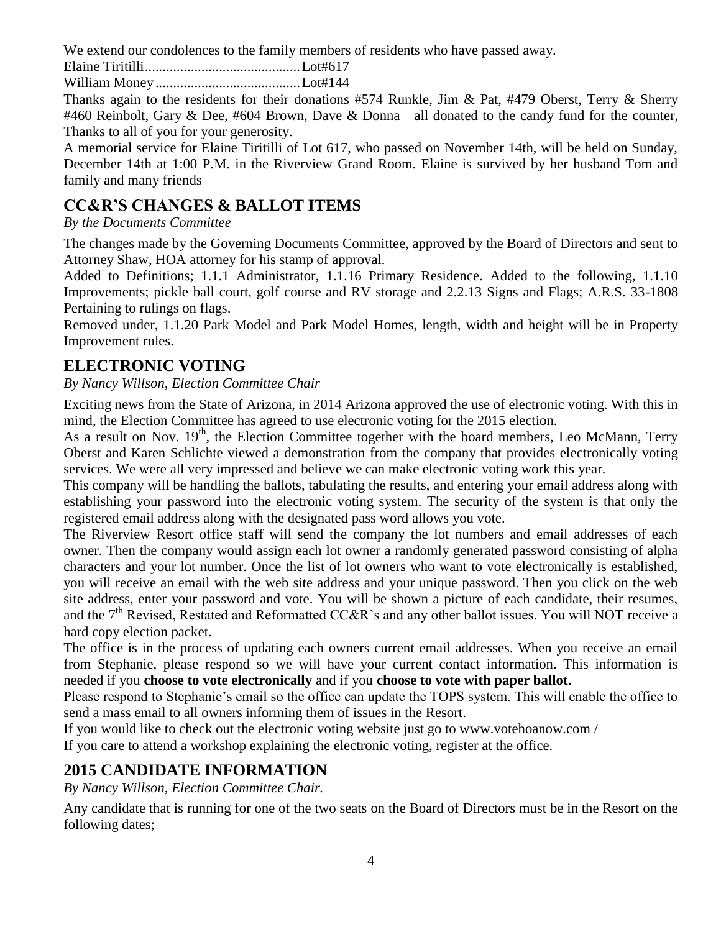We extend our condolences to the family members of residents who have passed away.

Elaine Tiritilli............................................Lot#617

William Money .........................................Lot#144

Thanks again to the residents for their donations #574 Runkle, Jim & Pat, #479 Oberst, Terry & Sherry #460 Reinbolt, Gary & Dee, #604 Brown, Dave & Donna all donated to the candy fund for the counter, Thanks to all of you for your generosity.

A memorial service for Elaine Tiritilli of Lot 617, who passed on November 14th, will be held on Sunday, December 14th at 1:00 P.M. in the Riverview Grand Room. Elaine is survived by her husband Tom and family and many friends

## **CC&R'S CHANGES & BALLOT ITEMS**

*By the Documents Committee*

The changes made by the Governing Documents Committee, approved by the Board of Directors and sent to Attorney Shaw, HOA attorney for his stamp of approval.

Added to Definitions; 1.1.1 Administrator, 1.1.16 Primary Residence. Added to the following, 1.1.10 Improvements; pickle ball court, golf course and RV storage and 2.2.13 Signs and Flags; A.R.S. 33-1808 Pertaining to rulings on flags.

Removed under, 1.1.20 Park Model and Park Model Homes, length, width and height will be in Property Improvement rules.

## **ELECTRONIC VOTING**

*By Nancy Willson, Election Committee Chair*

Exciting news from the State of Arizona, in 2014 Arizona approved the use of electronic voting. With this in mind, the Election Committee has agreed to use electronic voting for the 2015 election.

As a result on Nov. 19<sup>th</sup>, the Election Committee together with the board members, Leo McMann, Terry Oberst and Karen Schlichte viewed a demonstration from the company that provides electronically voting services. We were all very impressed and believe we can make electronic voting work this year.

This company will be handling the ballots, tabulating the results, and entering your email address along with establishing your password into the electronic voting system. The security of the system is that only the registered email address along with the designated pass word allows you vote.

The Riverview Resort office staff will send the company the lot numbers and email addresses of each owner. Then the company would assign each lot owner a randomly generated password consisting of alpha characters and your lot number. Once the list of lot owners who want to vote electronically is established, you will receive an email with the web site address and your unique password. Then you click on the web site address, enter your password and vote. You will be shown a picture of each candidate, their resumes, and the 7<sup>th</sup> Revised, Restated and Reformatted CC&R's and any other ballot issues. You will NOT receive a hard copy election packet.

The office is in the process of updating each owners current email addresses. When you receive an email from Stephanie, please respond so we will have your current contact information. This information is needed if you **choose to vote electronically** and if you **choose to vote with paper ballot.**

Please respond to Stephanie's email so the office can update the TOPS system. This will enable the office to send a mass email to all owners informing them of issues in the Resort.

If you would like to check out the electronic voting website just go to www.votehoanow.com /

If you care to attend a workshop explaining the electronic voting, register at the office.

## **2015 CANDIDATE INFORMATION**

*By Nancy Willson, Election Committee Chair.*

Any candidate that is running for one of the two seats on the Board of Directors must be in the Resort on the following dates;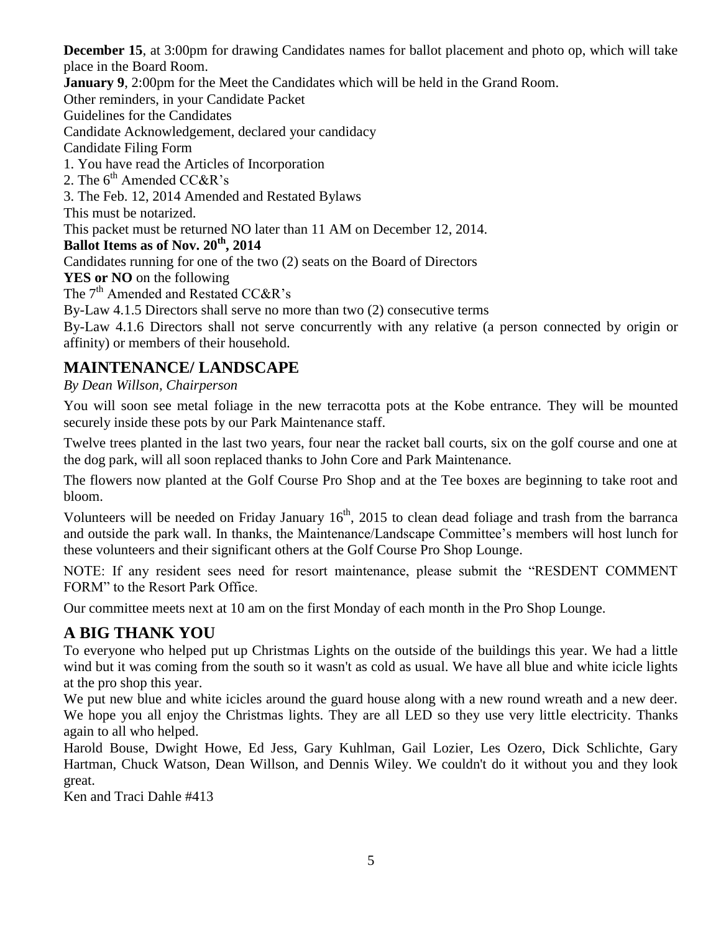**December 15**, at 3:00pm for drawing Candidates names for ballot placement and photo op, which will take place in the Board Room.

**January 9,** 2:00pm for the Meet the Candidates which will be held in the Grand Room.

Other reminders, in your Candidate Packet

Guidelines for the Candidates

Candidate Acknowledgement, declared your candidacy

Candidate Filing Form

1. You have read the Articles of Incorporation

2. The  $6<sup>th</sup>$  Amended CC&R's

3. The Feb. 12, 2014 Amended and Restated Bylaws

This must be notarized.

This packet must be returned NO later than 11 AM on December 12, 2014.

**Ballot Items as of Nov. 20th, 2014**

Candidates running for one of the two (2) seats on the Board of Directors

**YES or NO** on the following

The 7<sup>th</sup> Amended and Restated CC&R's

By-Law 4.1.5 Directors shall serve no more than two (2) consecutive terms

By-Law 4.1.6 Directors shall not serve concurrently with any relative (a person connected by origin or affinity) or members of their household.

## **MAINTENANCE/ LANDSCAPE**

*By Dean Willson, Chairperson*

You will soon see metal foliage in the new terracotta pots at the Kobe entrance. They will be mounted securely inside these pots by our Park Maintenance staff.

Twelve trees planted in the last two years, four near the racket ball courts, six on the golf course and one at the dog park, will all soon replaced thanks to John Core and Park Maintenance.

The flowers now planted at the Golf Course Pro Shop and at the Tee boxes are beginning to take root and bloom.

Volunteers will be needed on Friday January  $16<sup>th</sup>$ , 2015 to clean dead foliage and trash from the barranca and outside the park wall. In thanks, the Maintenance/Landscape Committee's members will host lunch for these volunteers and their significant others at the Golf Course Pro Shop Lounge.

NOTE: If any resident sees need for resort maintenance, please submit the "RESDENT COMMENT FORM" to the Resort Park Office.

Our committee meets next at 10 am on the first Monday of each month in the Pro Shop Lounge.

## **A BIG THANK YOU**

To everyone who helped put up Christmas Lights on the outside of the buildings this year. We had a little wind but it was coming from the south so it wasn't as cold as usual. We have all blue and white icicle lights at the pro shop this year.

We put new blue and white icicles around the guard house along with a new round wreath and a new deer. We hope you all enjoy the Christmas lights. They are all LED so they use very little electricity. Thanks again to all who helped.

Harold Bouse, Dwight Howe, Ed Jess, Gary Kuhlman, Gail Lozier, Les Ozero, Dick Schlichte, Gary Hartman, Chuck Watson, Dean Willson, and Dennis Wiley. We couldn't do it without you and they look great.

Ken and Traci Dahle #413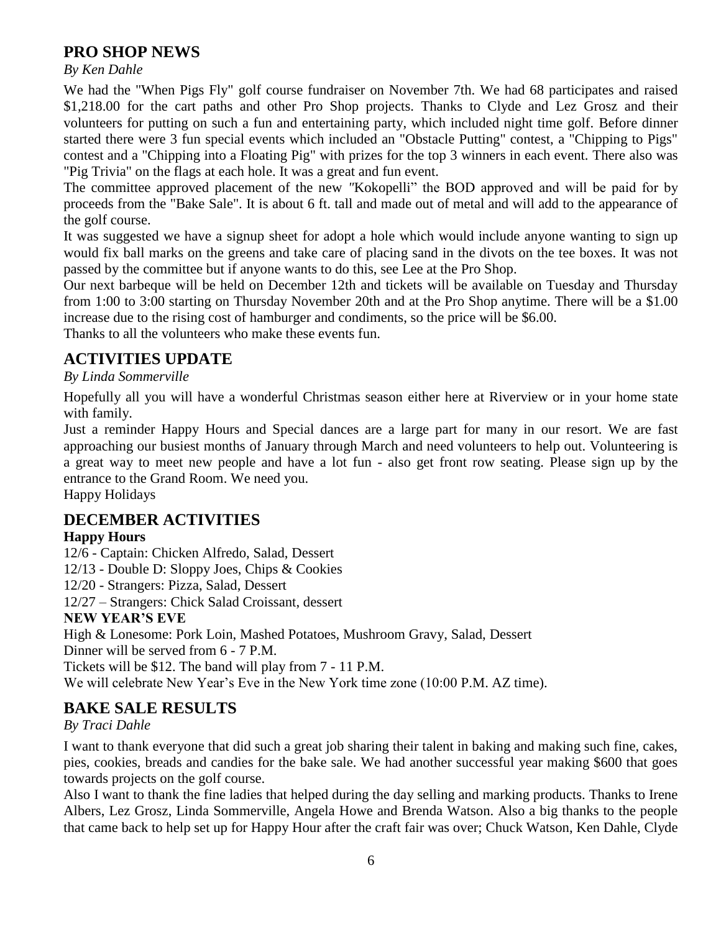## **PRO SHOP NEWS**

*By Ken Dahle*

We had the "When Pigs Fly" golf course fundraiser on November 7th. We had 68 participates and raised \$1,218.00 for the cart paths and other Pro Shop projects. Thanks to Clyde and Lez Grosz and their volunteers for putting on such a fun and entertaining party, which included night time golf. Before dinner started there were 3 fun special events which included an "Obstacle Putting" contest, a "Chipping to Pigs" contest and a "Chipping into a Floating Pig" with prizes for the top 3 winners in each event. There also was "Pig Trivia" on the flags at each hole. It was a great and fun event.

The committee approved placement of the new *"*Kokopelli" the BOD approved and will be paid for by proceeds from the "Bake Sale". It is about 6 ft. tall and made out of metal and will add to the appearance of the golf course.

It was suggested we have a signup sheet for adopt a hole which would include anyone wanting to sign up would fix ball marks on the greens and take care of placing sand in the divots on the tee boxes. It was not passed by the committee but if anyone wants to do this, see Lee at the Pro Shop.

Our next barbeque will be held on December 12th and tickets will be available on Tuesday and Thursday from 1:00 to 3:00 starting on Thursday November 20th and at the Pro Shop anytime. There will be a \$1.00 increase due to the rising cost of hamburger and condiments, so the price will be \$6.00.

Thanks to all the volunteers who make these events fun.

## **ACTIVITIES UPDATE**

#### *By Linda Sommerville*

Hopefully all you will have a wonderful Christmas season either here at Riverview or in your home state with family.

Just a reminder Happy Hours and Special dances are a large part for many in our resort. We are fast approaching our busiest months of January through March and need volunteers to help out. Volunteering is a great way to meet new people and have a lot fun - also get front row seating. Please sign up by the entrance to the Grand Room. We need you.

Happy Holidays

## **DECEMBER ACTIVITIES**

#### **Happy Hours**

- 12/6 Captain: Chicken Alfredo, Salad, Dessert
- 12/13 Double D: Sloppy Joes, Chips & Cookies
- 12/20 Strangers: Pizza, Salad, Dessert
- 12/27 Strangers: Chick Salad Croissant, dessert

#### **NEW YEAR'S EVE**

High & Lonesome: Pork Loin, Mashed Potatoes, Mushroom Gravy, Salad, Dessert

Dinner will be served from 6 - 7 P.M.

Tickets will be \$12. The band will play from 7 - 11 P.M.

We will celebrate New Year's Eve in the New York time zone (10:00 P.M. AZ time).

## **BAKE SALE RESULTS**

#### *By Traci Dahle*

I want to thank everyone that did such a great job sharing their talent in baking and making such fine, cakes, pies, cookies, breads and candies for the bake sale. We had another successful year making \$600 that goes towards projects on the golf course.

Also I want to thank the fine ladies that helped during the day selling and marking products. Thanks to Irene Albers, Lez Grosz, Linda Sommerville, Angela Howe and Brenda Watson. Also a big thanks to the people that came back to help set up for Happy Hour after the craft fair was over; Chuck Watson, Ken Dahle, Clyde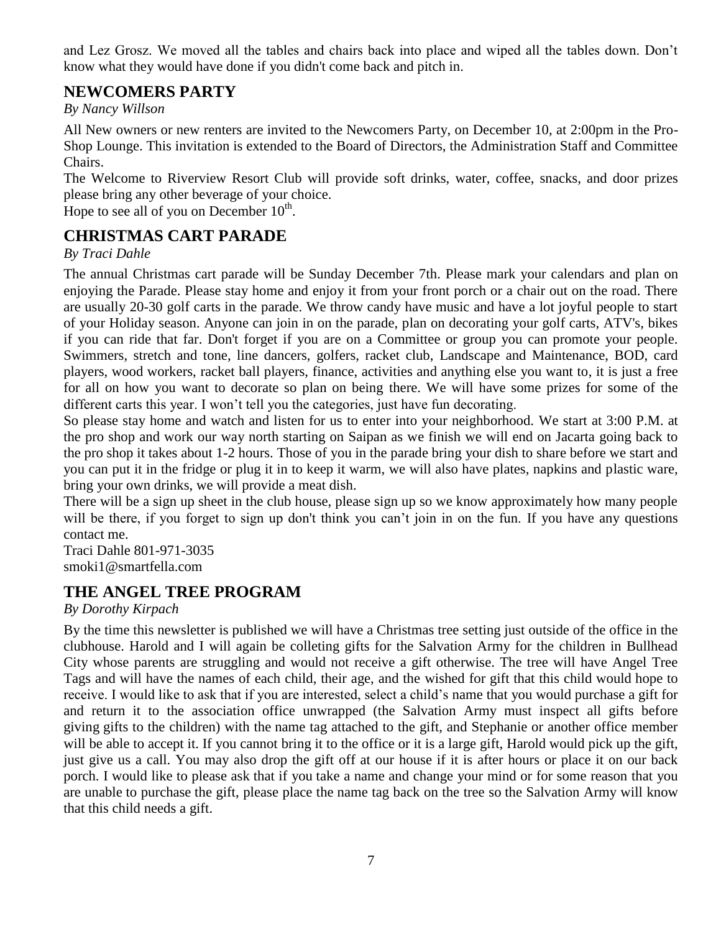and Lez Grosz. We moved all the tables and chairs back into place and wiped all the tables down. Don't know what they would have done if you didn't come back and pitch in.

## **NEWCOMERS PARTY**

*By Nancy Willson*

All New owners or new renters are invited to the Newcomers Party, on December 10, at 2:00pm in the Pro-Shop Lounge. This invitation is extended to the Board of Directors, the Administration Staff and Committee Chairs.

The Welcome to Riverview Resort Club will provide soft drinks, water, coffee, snacks, and door prizes please bring any other beverage of your choice.

Hope to see all of you on December  $10^{th}$ .

## **CHRISTMAS CART PARADE**

#### *By Traci Dahle*

The annual Christmas cart parade will be Sunday December 7th. Please mark your calendars and plan on enjoying the Parade. Please stay home and enjoy it from your front porch or a chair out on the road. There are usually 20-30 golf carts in the parade. We throw candy have music and have a lot joyful people to start of your Holiday season. Anyone can join in on the parade, plan on decorating your golf carts, ATV's, bikes if you can ride that far. Don't forget if you are on a Committee or group you can promote your people. Swimmers, stretch and tone, line dancers, golfers, racket club, Landscape and Maintenance, BOD, card players, wood workers, racket ball players, finance, activities and anything else you want to, it is just a free for all on how you want to decorate so plan on being there. We will have some prizes for some of the different carts this year. I won't tell you the categories, just have fun decorating.

So please stay home and watch and listen for us to enter into your neighborhood. We start at 3:00 P.M. at the pro shop and work our way north starting on Saipan as we finish we will end on Jacarta going back to the pro shop it takes about 1-2 hours. Those of you in the parade bring your dish to share before we start and you can put it in the fridge or plug it in to keep it warm, we will also have plates, napkins and plastic ware, bring your own drinks, we will provide a meat dish.

There will be a sign up sheet in the club house, please sign up so we know approximately how many people will be there, if you forget to sign up don't think you can't join in on the fun. If you have any questions contact me.

Traci Dahle 801-971-3035 smoki1@smartfella.com

## **THE ANGEL TREE PROGRAM**

*By Dorothy Kirpach*

By the time this newsletter is published we will have a Christmas tree setting just outside of the office in the clubhouse. Harold and I will again be colleting gifts for the Salvation Army for the children in Bullhead City whose parents are struggling and would not receive a gift otherwise. The tree will have Angel Tree Tags and will have the names of each child, their age, and the wished for gift that this child would hope to receive. I would like to ask that if you are interested, select a child's name that you would purchase a gift for and return it to the association office unwrapped (the Salvation Army must inspect all gifts before giving gifts to the children) with the name tag attached to the gift, and Stephanie or another office member will be able to accept it. If you cannot bring it to the office or it is a large gift, Harold would pick up the gift, just give us a call. You may also drop the gift off at our house if it is after hours or place it on our back porch. I would like to please ask that if you take a name and change your mind or for some reason that you are unable to purchase the gift, please place the name tag back on the tree so the Salvation Army will know that this child needs a gift.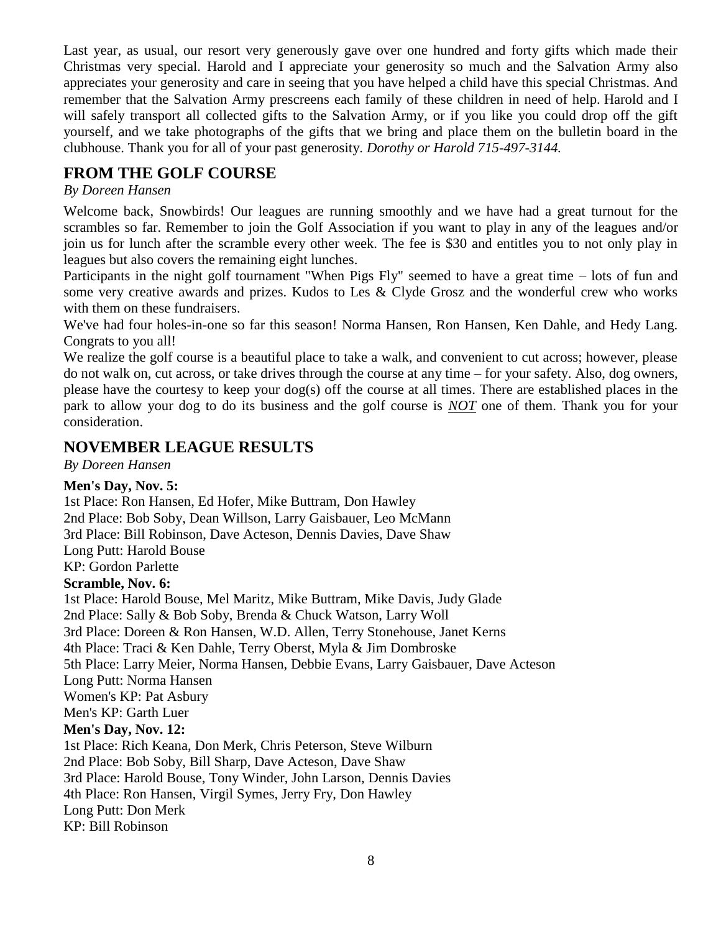Last year, as usual, our resort very generously gave over one hundred and forty gifts which made their Christmas very special. Harold and I appreciate your generosity so much and the Salvation Army also appreciates your generosity and care in seeing that you have helped a child have this special Christmas. And remember that the Salvation Army prescreens each family of these children in need of help. Harold and I will safely transport all collected gifts to the Salvation Army, or if you like you could drop off the gift yourself, and we take photographs of the gifts that we bring and place them on the bulletin board in the clubhouse. Thank you for all of your past generosity. *Dorothy or Harold 715-497-3144.*

## **FROM THE GOLF COURSE**

#### *By Doreen Hansen*

Welcome back, Snowbirds! Our leagues are running smoothly and we have had a great turnout for the scrambles so far. Remember to join the Golf Association if you want to play in any of the leagues and/or join us for lunch after the scramble every other week. The fee is \$30 and entitles you to not only play in leagues but also covers the remaining eight lunches.

Participants in the night golf tournament "When Pigs Fly" seemed to have a great time – lots of fun and some very creative awards and prizes. Kudos to Les & Clyde Grosz and the wonderful crew who works with them on these fundraisers.

We've had four holes-in-one so far this season! Norma Hansen, Ron Hansen, Ken Dahle, and Hedy Lang. Congrats to you all!

We realize the golf course is a beautiful place to take a walk, and convenient to cut across; however, please do not walk on, cut across, or take drives through the course at any time – for your safety. Also, dog owners, please have the courtesy to keep your dog(s) off the course at all times. There are established places in the park to allow your dog to do its business and the golf course is *NOT* one of them. Thank you for your consideration.

## **NOVEMBER LEAGUE RESULTS**

*By Doreen Hansen*

#### **Men's Day, Nov. 5:**

1st Place: Ron Hansen, Ed Hofer, Mike Buttram, Don Hawley 2nd Place: Bob Soby, Dean Willson, Larry Gaisbauer, Leo McMann 3rd Place: Bill Robinson, Dave Acteson, Dennis Davies, Dave Shaw Long Putt: Harold Bouse KP: Gordon Parlette **Scramble, Nov. 6:** 1st Place: Harold Bouse, Mel Maritz, Mike Buttram, Mike Davis, Judy Glade 2nd Place: Sally & Bob Soby, Brenda & Chuck Watson, Larry Woll 3rd Place: Doreen & Ron Hansen, W.D. Allen, Terry Stonehouse, Janet Kerns 4th Place: Traci & Ken Dahle, Terry Oberst, Myla & Jim Dombroske 5th Place: Larry Meier, Norma Hansen, Debbie Evans, Larry Gaisbauer, Dave Acteson Long Putt: Norma Hansen Women's KP: Pat Asbury Men's KP: Garth Luer **Men's Day, Nov. 12:** 1st Place: Rich Keana, Don Merk, Chris Peterson, Steve Wilburn 2nd Place: Bob Soby, Bill Sharp, Dave Acteson, Dave Shaw 3rd Place: Harold Bouse, Tony Winder, John Larson, Dennis Davies 4th Place: Ron Hansen, Virgil Symes, Jerry Fry, Don Hawley Long Putt: Don Merk

KP: Bill Robinson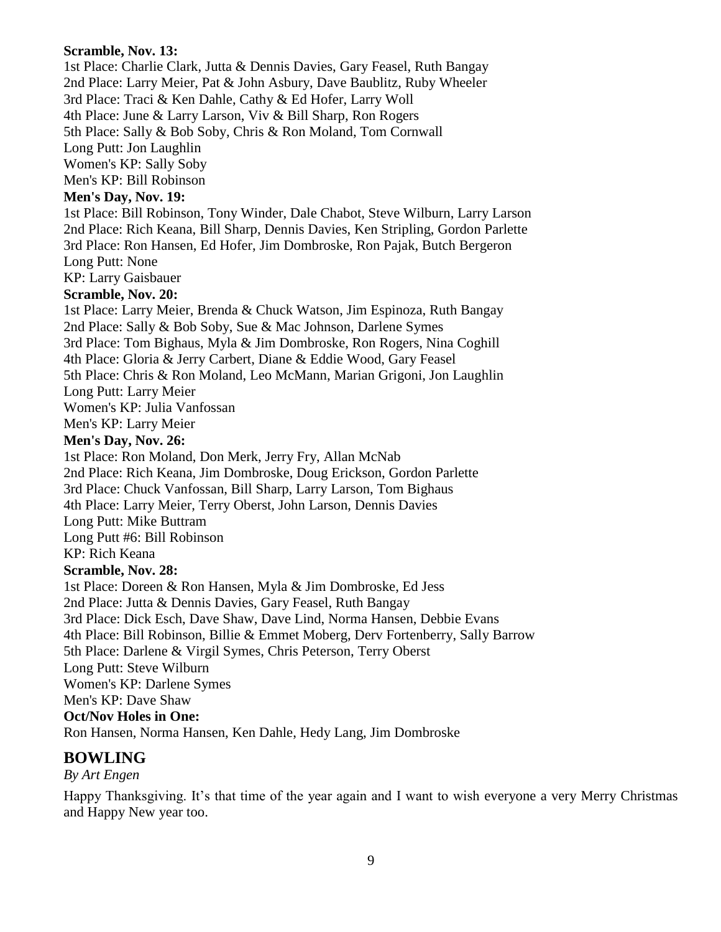**Scramble, Nov. 13:** 1st Place: Charlie Clark, Jutta & Dennis Davies, Gary Feasel, Ruth Bangay 2nd Place: Larry Meier, Pat & John Asbury, Dave Baublitz, Ruby Wheeler 3rd Place: Traci & Ken Dahle, Cathy & Ed Hofer, Larry Woll 4th Place: June & Larry Larson, Viv & Bill Sharp, Ron Rogers 5th Place: Sally & Bob Soby, Chris & Ron Moland, Tom Cornwall Long Putt: Jon Laughlin Women's KP: Sally Soby Men's KP: Bill Robinson **Men's Day, Nov. 19:** 1st Place: Bill Robinson, Tony Winder, Dale Chabot, Steve Wilburn, Larry Larson 2nd Place: Rich Keana, Bill Sharp, Dennis Davies, Ken Stripling, Gordon Parlette 3rd Place: Ron Hansen, Ed Hofer, Jim Dombroske, Ron Pajak, Butch Bergeron Long Putt: None KP: Larry Gaisbauer **Scramble, Nov. 20:** 1st Place: Larry Meier, Brenda & Chuck Watson, Jim Espinoza, Ruth Bangay 2nd Place: Sally & Bob Soby, Sue & Mac Johnson, Darlene Symes 3rd Place: Tom Bighaus, Myla & Jim Dombroske, Ron Rogers, Nina Coghill 4th Place: Gloria & Jerry Carbert, Diane & Eddie Wood, Gary Feasel 5th Place: Chris & Ron Moland, Leo McMann, Marian Grigoni, Jon Laughlin Long Putt: Larry Meier Women's KP: Julia Vanfossan Men's KP: Larry Meier **Men's Day, Nov. 26:** 1st Place: Ron Moland, Don Merk, Jerry Fry, Allan McNab 2nd Place: Rich Keana, Jim Dombroske, Doug Erickson, Gordon Parlette 3rd Place: Chuck Vanfossan, Bill Sharp, Larry Larson, Tom Bighaus 4th Place: Larry Meier, Terry Oberst, John Larson, Dennis Davies

Long Putt: Mike Buttram

Long Putt #6: Bill Robinson

KP: Rich Keana

#### **Scramble, Nov. 28:**

1st Place: Doreen & Ron Hansen, Myla & Jim Dombroske, Ed Jess

2nd Place: Jutta & Dennis Davies, Gary Feasel, Ruth Bangay

3rd Place: Dick Esch, Dave Shaw, Dave Lind, Norma Hansen, Debbie Evans

4th Place: Bill Robinson, Billie & Emmet Moberg, Derv Fortenberry, Sally Barrow

5th Place: Darlene & Virgil Symes, Chris Peterson, Terry Oberst

Long Putt: Steve Wilburn

Women's KP: Darlene Symes

Men's KP: Dave Shaw

**Oct/Nov Holes in One:**

Ron Hansen, Norma Hansen, Ken Dahle, Hedy Lang, Jim Dombroske

## **BOWLING**

#### *By Art Engen*

Happy Thanksgiving. It's that time of the year again and I want to wish everyone a very Merry Christmas and Happy New year too.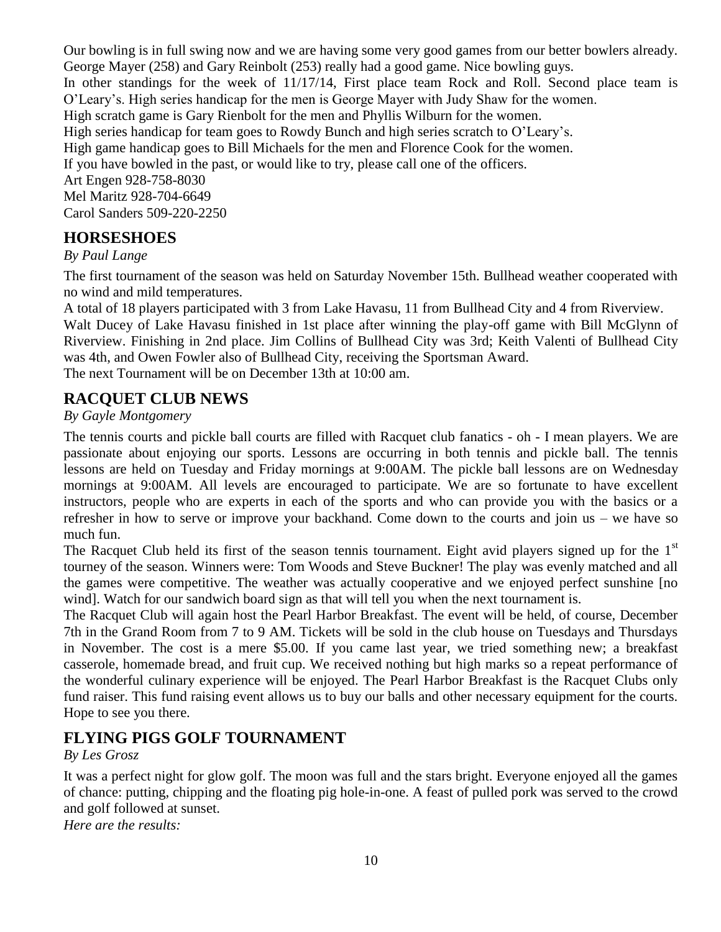Our bowling is in full swing now and we are having some very good games from our better bowlers already. George Mayer (258) and Gary Reinbolt (253) really had a good game. Nice bowling guys. In other standings for the week of 11/17/14, First place team Rock and Roll. Second place team is O'Leary's. High series handicap for the men is George Mayer with Judy Shaw for the women. High scratch game is Gary Rienbolt for the men and Phyllis Wilburn for the women. High series handicap for team goes to Rowdy Bunch and high series scratch to O'Leary's. High game handicap goes to Bill Michaels for the men and Florence Cook for the women. If you have bowled in the past, or would like to try, please call one of the officers. Art Engen 928-758-8030 Mel Maritz 928-704-6649 Carol Sanders 509-220-2250

## **HORSESHOES**

*By Paul Lange*

The first tournament of the season was held on Saturday November 15th. Bullhead weather cooperated with no wind and mild temperatures.

A total of 18 players participated with 3 from Lake Havasu, 11 from Bullhead City and 4 from Riverview. Walt Ducey of Lake Havasu finished in 1st place after winning the play-off game with Bill McGlynn of Riverview. Finishing in 2nd place. Jim Collins of Bullhead City was 3rd; Keith Valenti of Bullhead City was 4th, and Owen Fowler also of Bullhead City, receiving the Sportsman Award. The next Tournament will be on December 13th at 10:00 am.

## **RACQUET CLUB NEWS**

#### *By Gayle Montgomery*

The tennis courts and pickle ball courts are filled with Racquet club fanatics - oh - I mean players. We are passionate about enjoying our sports. Lessons are occurring in both tennis and pickle ball. The tennis lessons are held on Tuesday and Friday mornings at 9:00AM. The pickle ball lessons are on Wednesday mornings at 9:00AM. All levels are encouraged to participate. We are so fortunate to have excellent instructors, people who are experts in each of the sports and who can provide you with the basics or a refresher in how to serve or improve your backhand. Come down to the courts and join us – we have so much fun.

The Racquet Club held its first of the season tennis tournament. Eight avid players signed up for the  $1<sup>st</sup>$ tourney of the season. Winners were: Tom Woods and Steve Buckner! The play was evenly matched and all the games were competitive. The weather was actually cooperative and we enjoyed perfect sunshine [no wind]. Watch for our sandwich board sign as that will tell you when the next tournament is.

The Racquet Club will again host the Pearl Harbor Breakfast. The event will be held, of course, December 7th in the Grand Room from 7 to 9 AM. Tickets will be sold in the club house on Tuesdays and Thursdays in November. The cost is a mere \$5.00. If you came last year, we tried something new; a breakfast casserole, homemade bread, and fruit cup. We received nothing but high marks so a repeat performance of the wonderful culinary experience will be enjoyed. The Pearl Harbor Breakfast is the Racquet Clubs only fund raiser. This fund raising event allows us to buy our balls and other necessary equipment for the courts. Hope to see you there.

## **FLYING PIGS GOLF TOURNAMENT**

#### *By Les Grosz*

It was a perfect night for glow golf. The moon was full and the stars bright. Everyone enjoyed all the games of chance: putting, chipping and the floating pig hole-in-one. A feast of pulled pork was served to the crowd and golf followed at sunset.

*Here are the results:*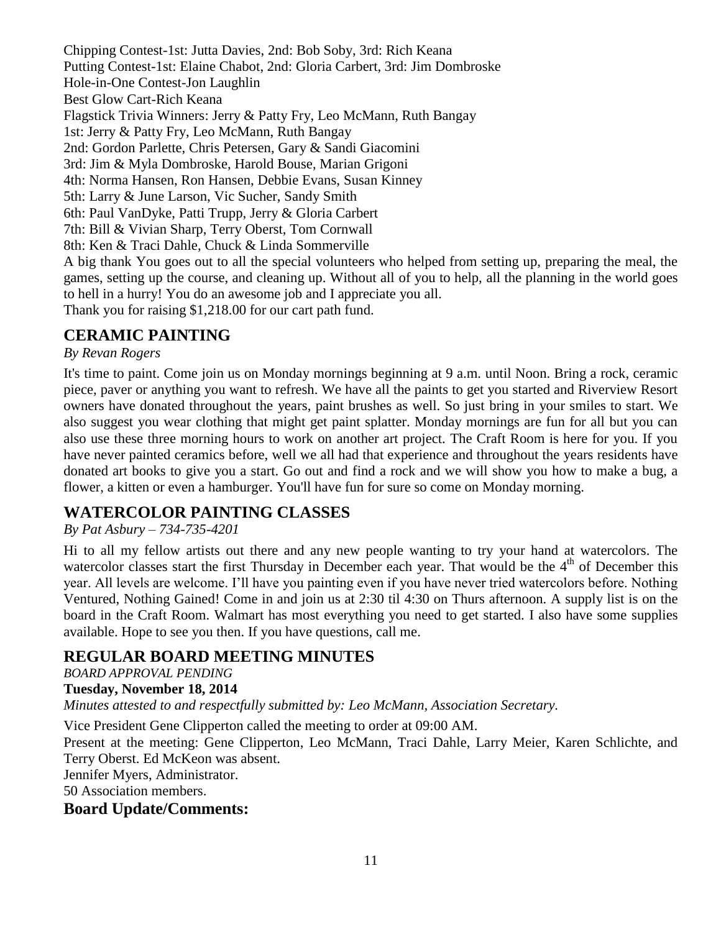Chipping Contest-1st: Jutta Davies, 2nd: Bob Soby, 3rd: Rich Keana Putting Contest-1st: Elaine Chabot, 2nd: Gloria Carbert, 3rd: Jim Dombroske Hole-in-One Contest-Jon Laughlin Best Glow Cart-Rich Keana Flagstick Trivia Winners: Jerry & Patty Fry, Leo McMann, Ruth Bangay 1st: Jerry & Patty Fry, Leo McMann, Ruth Bangay 2nd: Gordon Parlette, Chris Petersen, Gary & Sandi Giacomini 3rd: Jim & Myla Dombroske, Harold Bouse, Marian Grigoni 4th: Norma Hansen, Ron Hansen, Debbie Evans, Susan Kinney 5th: Larry & June Larson, Vic Sucher, Sandy Smith 6th: Paul VanDyke, Patti Trupp, Jerry & Gloria Carbert 7th: Bill & Vivian Sharp, Terry Oberst, Tom Cornwall 8th: Ken & Traci Dahle, Chuck & Linda Sommerville A big thank You goes out to all the special volunteers who helped from setting up, preparing the meal, the games, setting up the course, and cleaning up. Without all of you to help, all the planning in the world goes to hell in a hurry! You do an awesome job and I appreciate you all.

Thank you for raising \$1,218.00 for our cart path fund.

## **CERAMIC PAINTING**

#### *By Revan Rogers*

It's time to paint. Come join us on Monday mornings beginning at 9 a.m. until Noon. Bring a rock, ceramic piece, paver or anything you want to refresh. We have all the paints to get you started and Riverview Resort owners have donated throughout the years, paint brushes as well. So just bring in your smiles to start. We also suggest you wear clothing that might get paint splatter. Monday mornings are fun for all but you can also use these three morning hours to work on another art project. The Craft Room is here for you. If you have never painted ceramics before, well we all had that experience and throughout the years residents have donated art books to give you a start. Go out and find a rock and we will show you how to make a bug, a flower, a kitten or even a hamburger. You'll have fun for sure so come on Monday morning.

## **WATERCOLOR PAINTING CLASSES**

#### *By Pat Asbury – 734-735-4201*

Hi to all my fellow artists out there and any new people wanting to try your hand at watercolors. The watercolor classes start the first Thursday in December each year. That would be the  $4<sup>th</sup>$  of December this year. All levels are welcome. I'll have you painting even if you have never tried watercolors before. Nothing Ventured, Nothing Gained! Come in and join us at 2:30 til 4:30 on Thurs afternoon. A supply list is on the board in the Craft Room. Walmart has most everything you need to get started. I also have some supplies available. Hope to see you then. If you have questions, call me.

## **REGULAR BOARD MEETING MINUTES**

*BOARD APPROVAL PENDING*

#### **Tuesday, November 18, 2014**

*Minutes attested to and respectfully submitted by: Leo McMann, Association Secretary.*

Vice President Gene Clipperton called the meeting to order at 09:00 AM.

Present at the meeting: Gene Clipperton, Leo McMann, Traci Dahle, Larry Meier, Karen Schlichte, and Terry Oberst. Ed McKeon was absent.

Jennifer Myers, Administrator.

50 Association members.

## **Board Update/Comments:**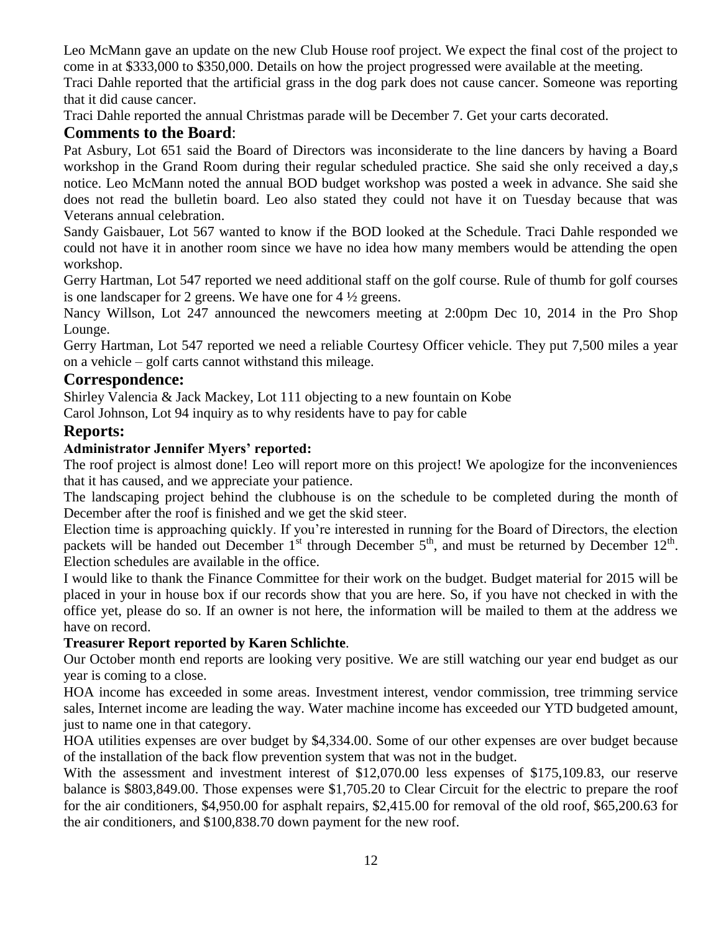Leo McMann gave an update on the new Club House roof project. We expect the final cost of the project to come in at \$333,000 to \$350,000. Details on how the project progressed were available at the meeting.

Traci Dahle reported that the artificial grass in the dog park does not cause cancer. Someone was reporting that it did cause cancer.

Traci Dahle reported the annual Christmas parade will be December 7. Get your carts decorated.

## **Comments to the Board**:

Pat Asbury, Lot 651 said the Board of Directors was inconsiderate to the line dancers by having a Board workshop in the Grand Room during their regular scheduled practice. She said she only received a day,s notice. Leo McMann noted the annual BOD budget workshop was posted a week in advance. She said she does not read the bulletin board. Leo also stated they could not have it on Tuesday because that was Veterans annual celebration.

Sandy Gaisbauer, Lot 567 wanted to know if the BOD looked at the Schedule. Traci Dahle responded we could not have it in another room since we have no idea how many members would be attending the open workshop.

Gerry Hartman, Lot 547 reported we need additional staff on the golf course. Rule of thumb for golf courses is one landscaper for 2 greens. We have one for 4 ½ greens.

Nancy Willson, Lot 247 announced the newcomers meeting at 2:00pm Dec 10, 2014 in the Pro Shop Lounge.

Gerry Hartman, Lot 547 reported we need a reliable Courtesy Officer vehicle. They put 7,500 miles a year on a vehicle – golf carts cannot withstand this mileage.

## **Correspondence:**

Shirley Valencia & Jack Mackey, Lot 111 objecting to a new fountain on Kobe

Carol Johnson, Lot 94 inquiry as to why residents have to pay for cable

## **Reports:**

## **Administrator Jennifer Myers' reported:**

The roof project is almost done! Leo will report more on this project! We apologize for the inconveniences that it has caused, and we appreciate your patience.

The landscaping project behind the clubhouse is on the schedule to be completed during the month of December after the roof is finished and we get the skid steer.

Election time is approaching quickly. If you're interested in running for the Board of Directors, the election packets will be handed out December  $1^{st}$  through December  $5^{th}$ , and must be returned by December  $12^{th}$ . Election schedules are available in the office.

I would like to thank the Finance Committee for their work on the budget. Budget material for 2015 will be placed in your in house box if our records show that you are here. So, if you have not checked in with the office yet, please do so. If an owner is not here, the information will be mailed to them at the address we have on record.

## **Treasurer Report reported by Karen Schlichte**.

Our October month end reports are looking very positive. We are still watching our year end budget as our year is coming to a close.

HOA income has exceeded in some areas. Investment interest, vendor commission, tree trimming service sales, Internet income are leading the way. Water machine income has exceeded our YTD budgeted amount, just to name one in that category.

HOA utilities expenses are over budget by \$4,334.00. Some of our other expenses are over budget because of the installation of the back flow prevention system that was not in the budget.

With the assessment and investment interest of \$12,070.00 less expenses of \$175,109.83, our reserve balance is \$803,849.00. Those expenses were \$1,705.20 to Clear Circuit for the electric to prepare the roof for the air conditioners, \$4,950.00 for asphalt repairs, \$2,415.00 for removal of the old roof, \$65,200.63 for the air conditioners, and \$100,838.70 down payment for the new roof.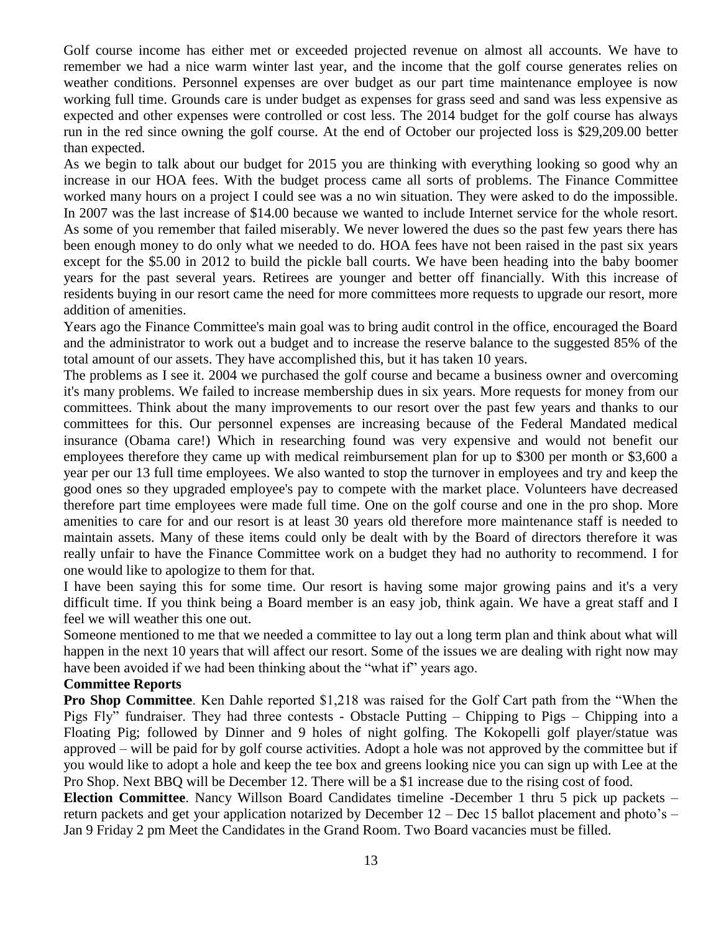Golf course income has either met or exceeded projected revenue on almost all accounts. We have to remember we had a nice warm winter last year, and the income that the golf course generates relies on weather conditions. Personnel expenses are over budget as our part time maintenance employee is now working full time. Grounds care is under budget as expenses for grass seed and sand was less expensive as expected and other expenses were controlled or cost less. The 2014 budget for the golf course has always run in the red since owning the golf course. At the end of October our projected loss is \$29,209.00 better than expected.

As we begin to talk about our budget for 2015 you are thinking with everything looking so good why an increase in our HOA fees. With the budget process came all sorts of problems. The Finance Committee worked many hours on a project I could see was a no win situation. They were asked to do the impossible. In 2007 was the last increase of \$14.00 because we wanted to include Internet service for the whole resort. As some of you remember that failed miserably. We never lowered the dues so the past few years there has been enough money to do only what we needed to do. HOA fees have not been raised in the past six years except for the \$5.00 in 2012 to build the pickle ball courts. We have been heading into the baby boomer years for the past several years. Retirees are younger and better off financially. With this increase of residents buying in our resort came the need for more committees more requests to upgrade our resort, more addition of amenities.

Years ago the Finance Committee's main goal was to bring audit control in the office, encouraged the Board and the administrator to work out a budget and to increase the reserve balance to the suggested 85% of the total amount of our assets. They have accomplished this, but it has taken 10 years.

The problems as I see it. 2004 we purchased the golf course and became a business owner and overcoming it's many problems. We failed to increase membership dues in six years. More requests for money from our committees. Think about the many improvements to our resort over the past few years and thanks to our committees for this. Our personnel expenses are increasing because of the Federal Mandated medical insurance (Obama care!) Which in researching found was very expensive and would not benefit our employees therefore they came up with medical reimbursement plan for up to \$300 per month or \$3,600 a year per our 13 full time employees. We also wanted to stop the turnover in employees and try and keep the good ones so they upgraded employee's pay to compete with the market place. Volunteers have decreased therefore part time employees were made full time. One on the golf course and one in the pro shop. More amenities to care for and our resort is at least 30 years old therefore more maintenance staff is needed to maintain assets. Many of these items could only be dealt with by the Board of directors therefore it was really unfair to have the Finance Committee work on a budget they had no authority to recommend. I for one would like to apologize to them for that.

I have been saying this for some time. Our resort is having some major growing pains and it's a very difficult time. If you think being a Board member is an easy job, think again. We have a great staff and I feel we will weather this one out.

Someone mentioned to me that we needed a committee to lay out a long term plan and think about what will happen in the next 10 years that will affect our resort. Some of the issues we are dealing with right now may have been avoided if we had been thinking about the "what if" years ago.

#### **Committee Reports**

**Pro Shop Committee**. Ken Dahle reported \$1,218 was raised for the Golf Cart path from the "When the Pigs Fly" fundraiser. They had three contests - Obstacle Putting – Chipping to Pigs – Chipping into a Floating Pig; followed by Dinner and 9 holes of night golfing. The Kokopelli golf player/statue was approved – will be paid for by golf course activities. Adopt a hole was not approved by the committee but if you would like to adopt a hole and keep the tee box and greens looking nice you can sign up with Lee at the Pro Shop. Next BBQ will be December 12. There will be a \$1 increase due to the rising cost of food.

**Election Committee**. Nancy Willson Board Candidates timeline -December 1 thru 5 pick up packets – return packets and get your application notarized by December 12 – Dec 15 ballot placement and photo's – Jan 9 Friday 2 pm Meet the Candidates in the Grand Room. Two Board vacancies must be filled.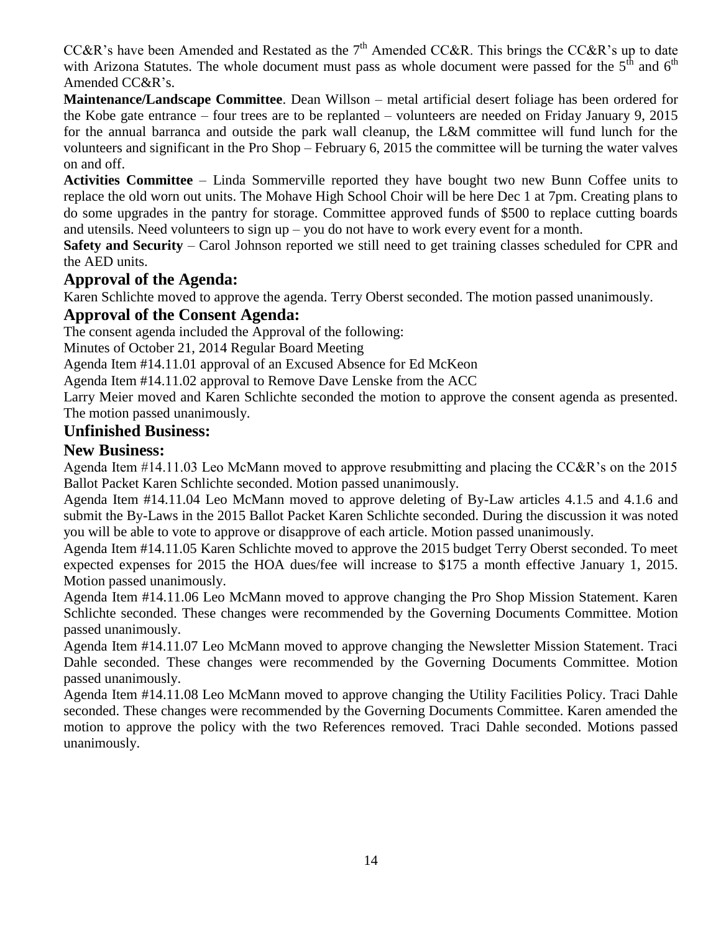CC&R's have been Amended and Restated as the  $7<sup>th</sup>$  Amended CC&R. This brings the CC&R's up to date with Arizona Statutes. The whole document must pass as whole document were passed for the  $5<sup>th</sup>$  and  $6<sup>th</sup>$ Amended CC&R's.

**Maintenance/Landscape Committee**. Dean Willson – metal artificial desert foliage has been ordered for the Kobe gate entrance – four trees are to be replanted – volunteers are needed on Friday January 9, 2015 for the annual barranca and outside the park wall cleanup, the L&M committee will fund lunch for the volunteers and significant in the Pro Shop – February 6, 2015 the committee will be turning the water valves on and off.

**Activities Committee** – Linda Sommerville reported they have bought two new Bunn Coffee units to replace the old worn out units. The Mohave High School Choir will be here Dec 1 at 7pm. Creating plans to do some upgrades in the pantry for storage. Committee approved funds of \$500 to replace cutting boards and utensils. Need volunteers to sign up – you do not have to work every event for a month.

**Safety and Security** – Carol Johnson reported we still need to get training classes scheduled for CPR and the AED units.

## **Approval of the Agenda:**

Karen Schlichte moved to approve the agenda. Terry Oberst seconded. The motion passed unanimously.

## **Approval of the Consent Agenda:**

The consent agenda included the Approval of the following:

Minutes of October 21, 2014 Regular Board Meeting

Agenda Item #14.11.01 approval of an Excused Absence for Ed McKeon

Agenda Item #14.11.02 approval to Remove Dave Lenske from the ACC

Larry Meier moved and Karen Schlichte seconded the motion to approve the consent agenda as presented. The motion passed unanimously.

#### **Unfinished Business:**

#### **New Business:**

Agenda Item #14.11.03 Leo McMann moved to approve resubmitting and placing the CC&R's on the 2015 Ballot Packet Karen Schlichte seconded. Motion passed unanimously.

Agenda Item #14.11.04 Leo McMann moved to approve deleting of By-Law articles 4.1.5 and 4.1.6 and submit the By-Laws in the 2015 Ballot Packet Karen Schlichte seconded. During the discussion it was noted you will be able to vote to approve or disapprove of each article. Motion passed unanimously.

Agenda Item #14.11.05 Karen Schlichte moved to approve the 2015 budget Terry Oberst seconded. To meet expected expenses for 2015 the HOA dues/fee will increase to \$175 a month effective January 1, 2015. Motion passed unanimously.

Agenda Item #14.11.06 Leo McMann moved to approve changing the Pro Shop Mission Statement. Karen Schlichte seconded. These changes were recommended by the Governing Documents Committee. Motion passed unanimously.

Agenda Item #14.11.07 Leo McMann moved to approve changing the Newsletter Mission Statement. Traci Dahle seconded. These changes were recommended by the Governing Documents Committee. Motion passed unanimously.

Agenda Item #14.11.08 Leo McMann moved to approve changing the Utility Facilities Policy. Traci Dahle seconded. These changes were recommended by the Governing Documents Committee. Karen amended the motion to approve the policy with the two References removed. Traci Dahle seconded. Motions passed unanimously.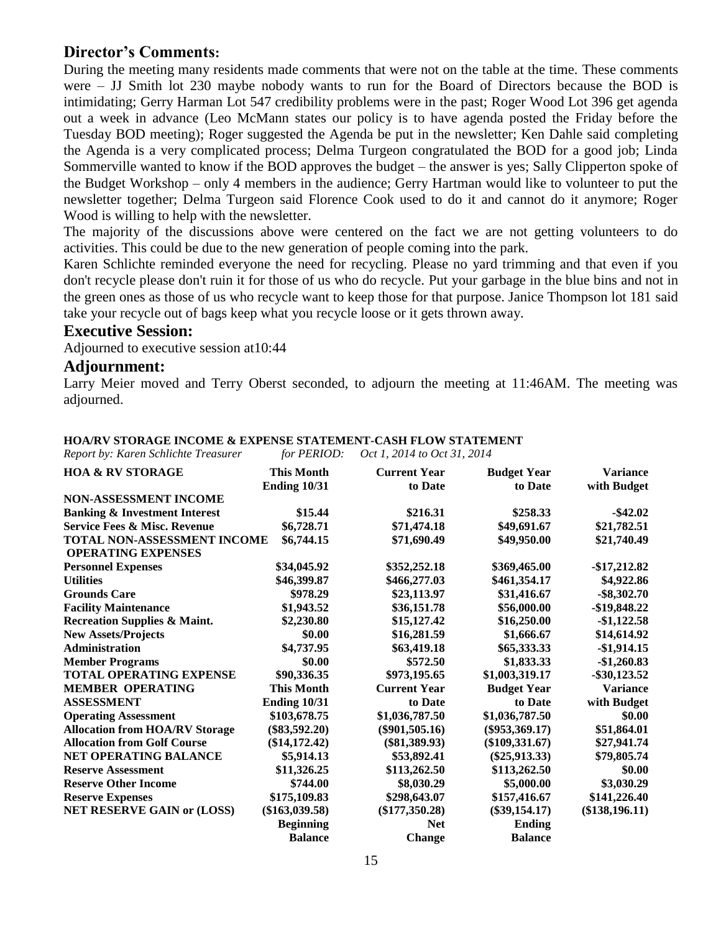#### **Director's Comments:**

During the meeting many residents made comments that were not on the table at the time. These comments were – JJ Smith lot 230 maybe nobody wants to run for the Board of Directors because the BOD is intimidating; Gerry Harman Lot 547 credibility problems were in the past; Roger Wood Lot 396 get agenda out a week in advance (Leo McMann states our policy is to have agenda posted the Friday before the Tuesday BOD meeting); Roger suggested the Agenda be put in the newsletter; Ken Dahle said completing the Agenda is a very complicated process; Delma Turgeon congratulated the BOD for a good job; Linda Sommerville wanted to know if the BOD approves the budget – the answer is yes; Sally Clipperton spoke of the Budget Workshop – only 4 members in the audience; Gerry Hartman would like to volunteer to put the newsletter together; Delma Turgeon said Florence Cook used to do it and cannot do it anymore; Roger Wood is willing to help with the newsletter.

The majority of the discussions above were centered on the fact we are not getting volunteers to do activities. This could be due to the new generation of people coming into the park.

Karen Schlichte reminded everyone the need for recycling. Please no yard trimming and that even if you don't recycle please don't ruin it for those of us who do recycle. Put your garbage in the blue bins and not in the green ones as those of us who recycle want to keep those for that purpose. Janice Thompson lot 181 said take your recycle out of bags keep what you recycle loose or it gets thrown away.

#### **Executive Session:**

Adjourned to executive session at10:44

#### **Adjournment:**

Larry Meier moved and Terry Oberst seconded, to adjourn the meeting at 11:46AM. The meeting was adjourned.

| Report by: Karen Schlichte Treasurer                            | for PERIOD:                       | Oct 1, 2014 to Oct 31, 2014    |                               |                                |
|-----------------------------------------------------------------|-----------------------------------|--------------------------------|-------------------------------|--------------------------------|
| <b>HOA &amp; RV STORAGE</b>                                     | <b>This Month</b><br>Ending 10/31 | <b>Current Year</b><br>to Date | <b>Budget Year</b><br>to Date | <b>Variance</b><br>with Budget |
| <b>NON-ASSESSMENT INCOME</b>                                    |                                   |                                |                               |                                |
| <b>Banking &amp; Investment Interest</b>                        | \$15.44                           | \$216.31                       | \$258.33                      | $-$ \$42.02                    |
| <b>Service Fees &amp; Misc. Revenue</b>                         | \$6,728.71                        | \$71,474.18                    | \$49,691.67                   | \$21,782.51                    |
| <b>TOTAL NON-ASSESSMENT INCOME</b><br><b>OPERATING EXPENSES</b> | \$6,744.15                        | \$71,690.49                    | \$49,950.00                   | \$21,740.49                    |
| <b>Personnel Expenses</b>                                       | \$34,045.92                       | \$352,252.18                   | \$369,465.00                  | $-$17,212.82$                  |
| <b>Utilities</b>                                                | \$46,399.87                       | \$466,277.03                   | \$461,354.17                  | \$4,922.86                     |
| <b>Grounds Care</b>                                             | \$978.29                          | \$23,113.97                    | \$31,416.67                   | $-$ \$8,302.70                 |
| <b>Facility Maintenance</b>                                     | \$1,943.52                        | \$36,151.78                    | \$56,000.00                   | -\$19,848.22                   |
| <b>Recreation Supplies &amp; Maint.</b>                         | \$2,230.80                        | \$15,127.42                    | \$16,250.00                   | $-$1,122.58$                   |
| <b>New Assets/Projects</b>                                      | \$0.00                            | \$16,281.59                    | \$1,666.67                    | \$14,614.92                    |
| <b>Administration</b>                                           | \$4,737.95                        | \$63,419.18                    | \$65,333.33                   | $-$1,914.15$                   |
| <b>Member Programs</b>                                          | \$0.00                            | \$572.50                       | \$1,833.33                    | $-$1,260.83$                   |
| <b>TOTAL OPERATING EXPENSE</b>                                  | \$90,336.35                       | \$973,195.65                   | \$1,003,319.17                | $-$ \$30,123.52                |
| <b>MEMBER OPERATING</b>                                         | <b>This Month</b>                 | <b>Current Year</b>            | <b>Budget Year</b>            | <b>Variance</b>                |
| <b>ASSESSMENT</b>                                               | <b>Ending 10/31</b>               | to Date                        | to Date                       | with Budget                    |
| <b>Operating Assessment</b>                                     | \$103,678.75                      | \$1,036,787.50                 | \$1,036,787.50                | \$0.00                         |
| <b>Allocation from HOA/RV Storage</b>                           | $(\$83,592.20)$                   | $(\$901,505.16)$               | $(\$953,369.17)$              | \$51,864.01                    |
| <b>Allocation from Golf Course</b>                              | $(\$14,172.42)$                   | $(\$81,389.93)$                | $(\$109,331.67)$              | \$27,941.74                    |
| NET OPERATING BALANCE                                           | \$5,914.13                        | \$53,892.41                    | $(\$25,913.33)$               | \$79,805.74                    |
| <b>Reserve Assessment</b>                                       | \$11,326.25                       | \$113,262.50                   | \$113,262.50                  | \$0.00                         |
| <b>Reserve Other Income</b>                                     | \$744.00                          | \$8,030.29                     | \$5,000.00                    | \$3,030.29                     |
| <b>Reserve Expenses</b>                                         | \$175,109.83                      | \$298,643.07                   | \$157,416.67                  | \$141,226.40                   |
| <b>NET RESERVE GAIN or (LOSS)</b>                               | $(\$163,039.58)$                  | $(\$177,350.28)$               | $(\$39,154.17)$               | $(\$138,196.11)$               |
|                                                                 | <b>Beginning</b>                  | <b>Net</b>                     | <b>Ending</b>                 |                                |
|                                                                 | <b>Balance</b>                    | <b>Change</b>                  | <b>Balance</b>                |                                |

#### **HOA/RV STORAGE INCOME & EXPENSE STATEMENT-CASH FLOW STATEMENT**